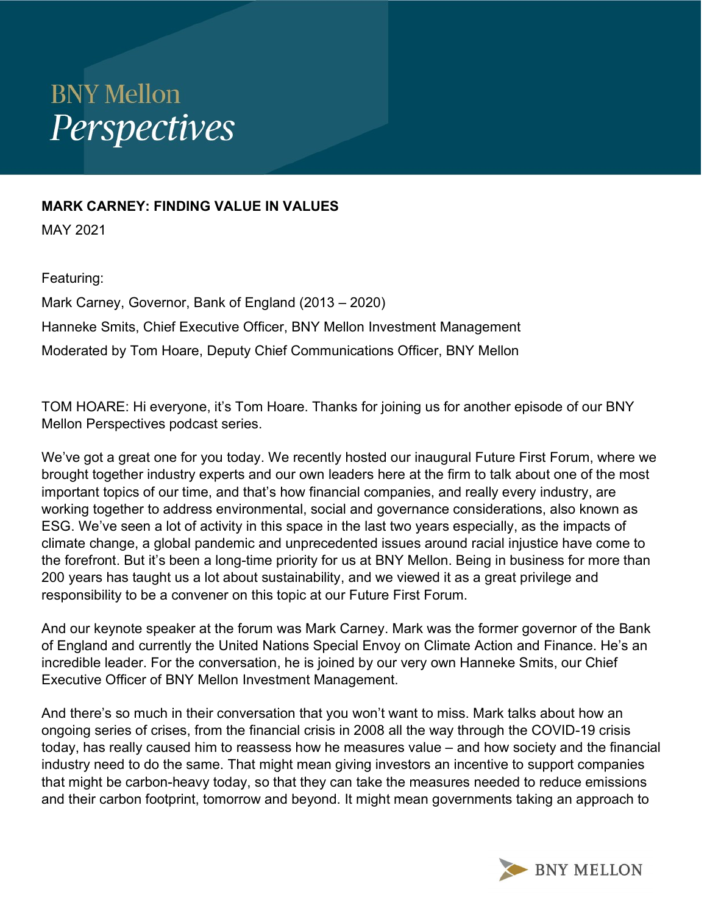## **BNY Mellon** Perspectives

## MARK CARNEY: FINDING VALUE IN VALUES

MAY 2021

## Featuring:

Mark Carney, Governor, Bank of England (2013 – 2020) Hanneke Smits, Chief Executive Officer, BNY Mellon Investment Management Moderated by Tom Hoare, Deputy Chief Communications Officer, BNY Mellon

TOM HOARE: Hi everyone, it's Tom Hoare. Thanks for joining us for another episode of our BNY Mellon Perspectives podcast series.

We've got a great one for you today. We recently hosted our inaugural Future First Forum, where we brought together industry experts and our own leaders here at the firm to talk about one of the most important topics of our time, and that's how financial companies, and really every industry, are working together to address environmental, social and governance considerations, also known as ESG. We've seen a lot of activity in this space in the last two years especially, as the impacts of climate change, a global pandemic and unprecedented issues around racial injustice have come to the forefront. But it's been a long-time priority for us at BNY Mellon. Being in business for more than 200 years has taught us a lot about sustainability, and we viewed it as a great privilege and responsibility to be a convener on this topic at our Future First Forum.

And our keynote speaker at the forum was Mark Carney. Mark was the former governor of the Bank of England and currently the United Nations Special Envoy on Climate Action and Finance. He's an incredible leader. For the conversation, he is joined by our very own Hanneke Smits, our Chief Executive Officer of BNY Mellon Investment Management.

And there's so much in their conversation that you won't want to miss. Mark talks about how an ongoing series of crises, from the financial crisis in 2008 all the way through the COVID-19 crisis today, has really caused him to reassess how he measures value – and how society and the financial industry need to do the same. That might mean giving investors an incentive to support companies that might be carbon-heavy today, so that they can take the measures needed to reduce emissions and their carbon footprint, tomorrow and beyond. It might mean governments taking an approach to

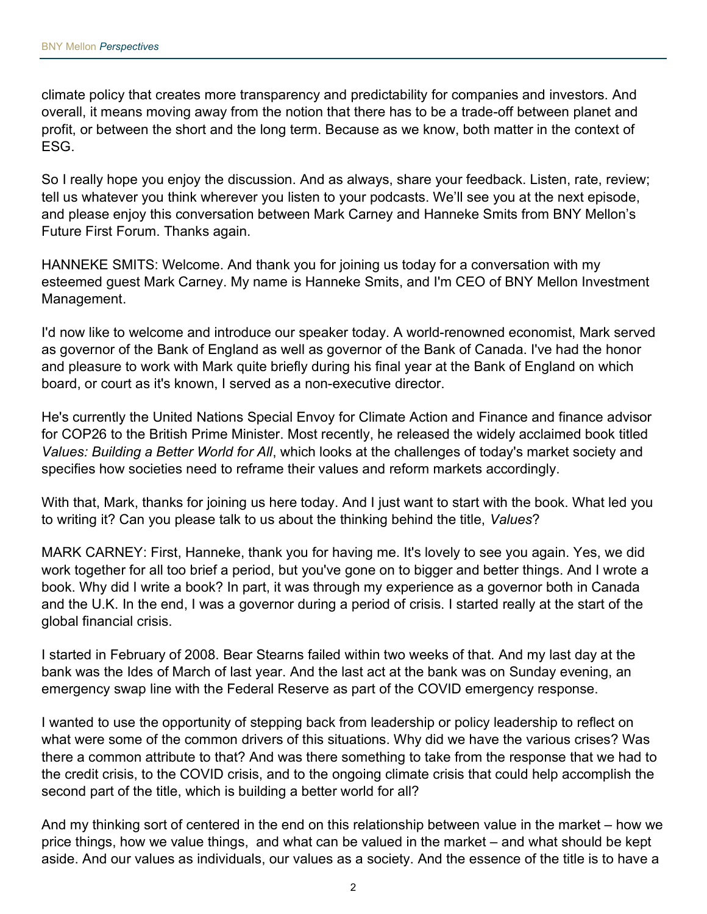climate policy that creates more transparency and predictability for companies and investors. And overall, it means moving away from the notion that there has to be a trade-off between planet and profit, or between the short and the long term. Because as we know, both matter in the context of ESG.

So I really hope you enjoy the discussion. And as always, share your feedback. Listen, rate, review; tell us whatever you think wherever you listen to your podcasts. We'll see you at the next episode, and please enjoy this conversation between Mark Carney and Hanneke Smits from BNY Mellon's Future First Forum. Thanks again.

HANNEKE SMITS: Welcome. And thank you for joining us today for a conversation with my esteemed guest Mark Carney. My name is Hanneke Smits, and I'm CEO of BNY Mellon Investment Management.

I'd now like to welcome and introduce our speaker today. A world-renowned economist, Mark served as governor of the Bank of England as well as governor of the Bank of Canada. I've had the honor and pleasure to work with Mark quite briefly during his final year at the Bank of England on which board, or court as it's known, I served as a non-executive director.

He's currently the United Nations Special Envoy for Climate Action and Finance and finance advisor for COP26 to the British Prime Minister. Most recently, he released the widely acclaimed book titled Values: Building a Better World for All, which looks at the challenges of today's market society and specifies how societies need to reframe their values and reform markets accordingly.

With that, Mark, thanks for joining us here today. And I just want to start with the book. What led you to writing it? Can you please talk to us about the thinking behind the title, Values?

MARK CARNEY: First, Hanneke, thank you for having me. It's lovely to see you again. Yes, we did work together for all too brief a period, but you've gone on to bigger and better things. And I wrote a book. Why did I write a book? In part, it was through my experience as a governor both in Canada and the U.K. In the end, I was a governor during a period of crisis. I started really at the start of the global financial crisis.

I started in February of 2008. Bear Stearns failed within two weeks of that. And my last day at the bank was the Ides of March of last year. And the last act at the bank was on Sunday evening, an emergency swap line with the Federal Reserve as part of the COVID emergency response.

I wanted to use the opportunity of stepping back from leadership or policy leadership to reflect on what were some of the common drivers of this situations. Why did we have the various crises? Was there a common attribute to that? And was there something to take from the response that we had to the credit crisis, to the COVID crisis, and to the ongoing climate crisis that could help accomplish the second part of the title, which is building a better world for all?

And my thinking sort of centered in the end on this relationship between value in the market – how we price things, how we value things, and what can be valued in the market – and what should be kept aside. And our values as individuals, our values as a society. And the essence of the title is to have a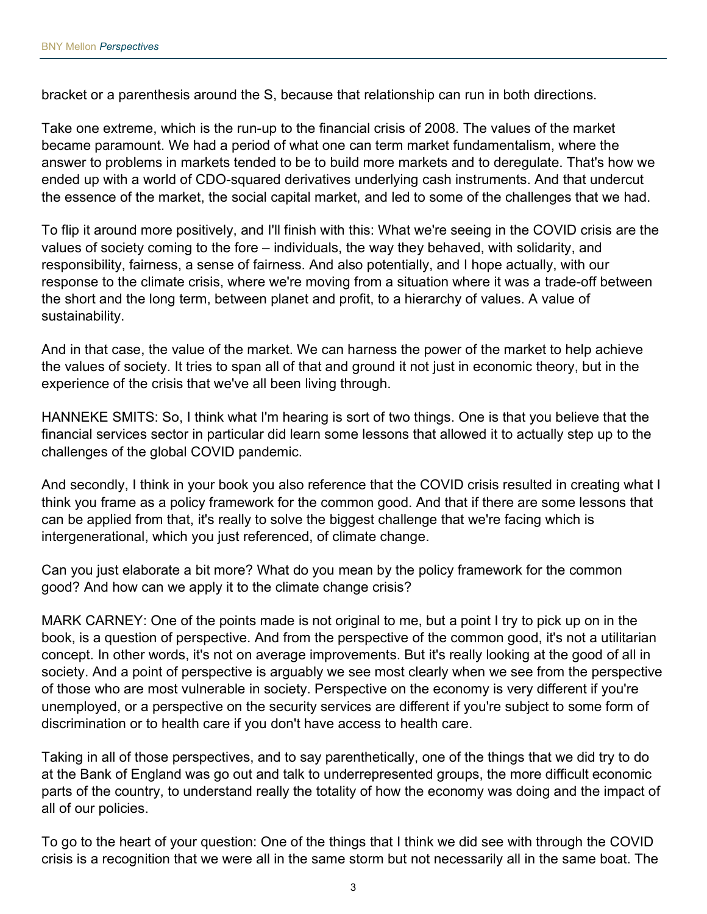bracket or a parenthesis around the S, because that relationship can run in both directions.

Take one extreme, which is the run-up to the financial crisis of 2008. The values of the market became paramount. We had a period of what one can term market fundamentalism, where the answer to problems in markets tended to be to build more markets and to deregulate. That's how we ended up with a world of CDO-squared derivatives underlying cash instruments. And that undercut the essence of the market, the social capital market, and led to some of the challenges that we had.

To flip it around more positively, and I'll finish with this: What we're seeing in the COVID crisis are the values of society coming to the fore – individuals, the way they behaved, with solidarity, and responsibility, fairness, a sense of fairness. And also potentially, and I hope actually, with our response to the climate crisis, where we're moving from a situation where it was a trade-off between the short and the long term, between planet and profit, to a hierarchy of values. A value of sustainability.

And in that case, the value of the market. We can harness the power of the market to help achieve the values of society. It tries to span all of that and ground it not just in economic theory, but in the experience of the crisis that we've all been living through.

HANNEKE SMITS: So, I think what I'm hearing is sort of two things. One is that you believe that the financial services sector in particular did learn some lessons that allowed it to actually step up to the challenges of the global COVID pandemic.

And secondly, I think in your book you also reference that the COVID crisis resulted in creating what I think you frame as a policy framework for the common good. And that if there are some lessons that can be applied from that, it's really to solve the biggest challenge that we're facing which is intergenerational, which you just referenced, of climate change.

Can you just elaborate a bit more? What do you mean by the policy framework for the common good? And how can we apply it to the climate change crisis?

MARK CARNEY: One of the points made is not original to me, but a point I try to pick up on in the book, is a question of perspective. And from the perspective of the common good, it's not a utilitarian concept. In other words, it's not on average improvements. But it's really looking at the good of all in society. And a point of perspective is arguably we see most clearly when we see from the perspective of those who are most vulnerable in society. Perspective on the economy is very different if you're unemployed, or a perspective on the security services are different if you're subject to some form of discrimination or to health care if you don't have access to health care.

Taking in all of those perspectives, and to say parenthetically, one of the things that we did try to do at the Bank of England was go out and talk to underrepresented groups, the more difficult economic parts of the country, to understand really the totality of how the economy was doing and the impact of all of our policies.

To go to the heart of your question: One of the things that I think we did see with through the COVID crisis is a recognition that we were all in the same storm but not necessarily all in the same boat. The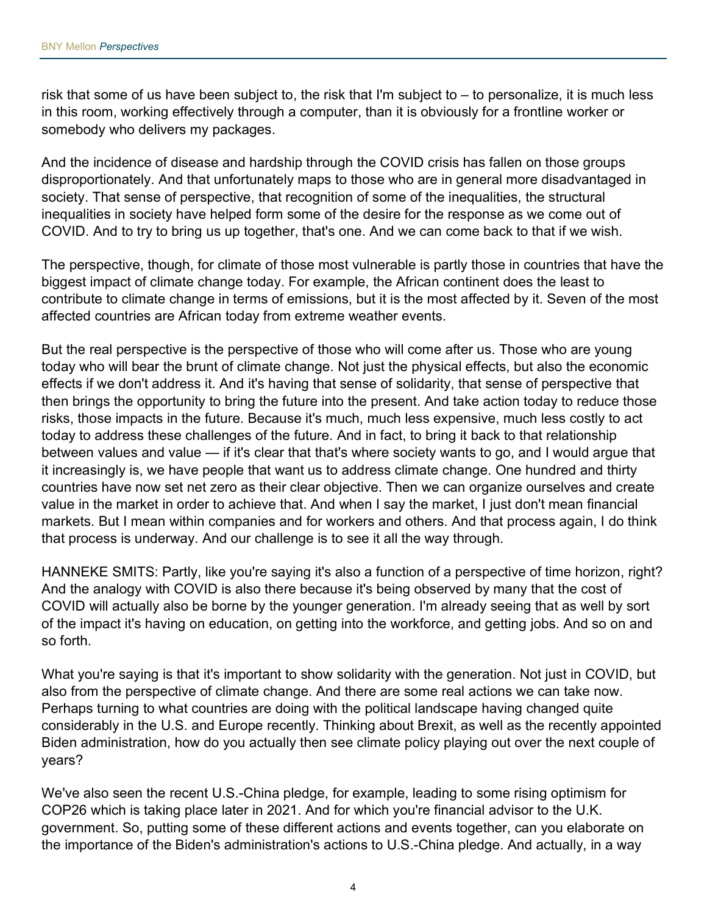risk that some of us have been subject to, the risk that I'm subject to – to personalize, it is much less in this room, working effectively through a computer, than it is obviously for a frontline worker or somebody who delivers my packages.

And the incidence of disease and hardship through the COVID crisis has fallen on those groups disproportionately. And that unfortunately maps to those who are in general more disadvantaged in society. That sense of perspective, that recognition of some of the inequalities, the structural inequalities in society have helped form some of the desire for the response as we come out of COVID. And to try to bring us up together, that's one. And we can come back to that if we wish.

The perspective, though, for climate of those most vulnerable is partly those in countries that have the biggest impact of climate change today. For example, the African continent does the least to contribute to climate change in terms of emissions, but it is the most affected by it. Seven of the most affected countries are African today from extreme weather events.

But the real perspective is the perspective of those who will come after us. Those who are young today who will bear the brunt of climate change. Not just the physical effects, but also the economic effects if we don't address it. And it's having that sense of solidarity, that sense of perspective that then brings the opportunity to bring the future into the present. And take action today to reduce those risks, those impacts in the future. Because it's much, much less expensive, much less costly to act today to address these challenges of the future. And in fact, to bring it back to that relationship between values and value — if it's clear that that's where society wants to go, and I would argue that it increasingly is, we have people that want us to address climate change. One hundred and thirty countries have now set net zero as their clear objective. Then we can organize ourselves and create value in the market in order to achieve that. And when I say the market, I just don't mean financial markets. But I mean within companies and for workers and others. And that process again, I do think that process is underway. And our challenge is to see it all the way through.

HANNEKE SMITS: Partly, like you're saying it's also a function of a perspective of time horizon, right? And the analogy with COVID is also there because it's being observed by many that the cost of COVID will actually also be borne by the younger generation. I'm already seeing that as well by sort of the impact it's having on education, on getting into the workforce, and getting jobs. And so on and so forth.

What you're saying is that it's important to show solidarity with the generation. Not just in COVID, but also from the perspective of climate change. And there are some real actions we can take now. Perhaps turning to what countries are doing with the political landscape having changed quite considerably in the U.S. and Europe recently. Thinking about Brexit, as well as the recently appointed Biden administration, how do you actually then see climate policy playing out over the next couple of years?

We've also seen the recent U.S.-China pledge, for example, leading to some rising optimism for COP26 which is taking place later in 2021. And for which you're financial advisor to the U.K. government. So, putting some of these different actions and events together, can you elaborate on the importance of the Biden's administration's actions to U.S.-China pledge. And actually, in a way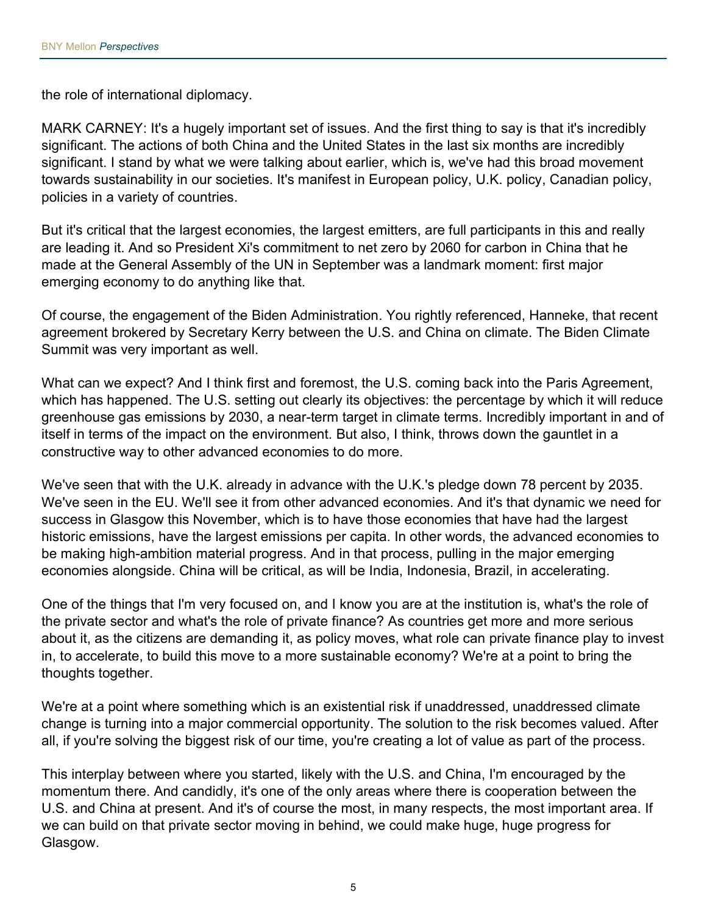the role of international diplomacy.

MARK CARNEY: It's a hugely important set of issues. And the first thing to say is that it's incredibly significant. The actions of both China and the United States in the last six months are incredibly significant. I stand by what we were talking about earlier, which is, we've had this broad movement towards sustainability in our societies. It's manifest in European policy, U.K. policy, Canadian policy, policies in a variety of countries.

But it's critical that the largest economies, the largest emitters, are full participants in this and really are leading it. And so President Xi's commitment to net zero by 2060 for carbon in China that he made at the General Assembly of the UN in September was a landmark moment: first major emerging economy to do anything like that.

Of course, the engagement of the Biden Administration. You rightly referenced, Hanneke, that recent agreement brokered by Secretary Kerry between the U.S. and China on climate. The Biden Climate Summit was very important as well.

What can we expect? And I think first and foremost, the U.S. coming back into the Paris Agreement, which has happened. The U.S. setting out clearly its objectives: the percentage by which it will reduce greenhouse gas emissions by 2030, a near-term target in climate terms. Incredibly important in and of itself in terms of the impact on the environment. But also, I think, throws down the gauntlet in a constructive way to other advanced economies to do more.

We've seen that with the U.K. already in advance with the U.K.'s pledge down 78 percent by 2035. We've seen in the EU. We'll see it from other advanced economies. And it's that dynamic we need for success in Glasgow this November, which is to have those economies that have had the largest historic emissions, have the largest emissions per capita. In other words, the advanced economies to be making high-ambition material progress. And in that process, pulling in the major emerging economies alongside. China will be critical, as will be India, Indonesia, Brazil, in accelerating.

One of the things that I'm very focused on, and I know you are at the institution is, what's the role of the private sector and what's the role of private finance? As countries get more and more serious about it, as the citizens are demanding it, as policy moves, what role can private finance play to invest in, to accelerate, to build this move to a more sustainable economy? We're at a point to bring the thoughts together.

We're at a point where something which is an existential risk if unaddressed, unaddressed climate change is turning into a major commercial opportunity. The solution to the risk becomes valued. After all, if you're solving the biggest risk of our time, you're creating a lot of value as part of the process.

This interplay between where you started, likely with the U.S. and China, I'm encouraged by the momentum there. And candidly, it's one of the only areas where there is cooperation between the U.S. and China at present. And it's of course the most, in many respects, the most important area. If we can build on that private sector moving in behind, we could make huge, huge progress for Glasgow.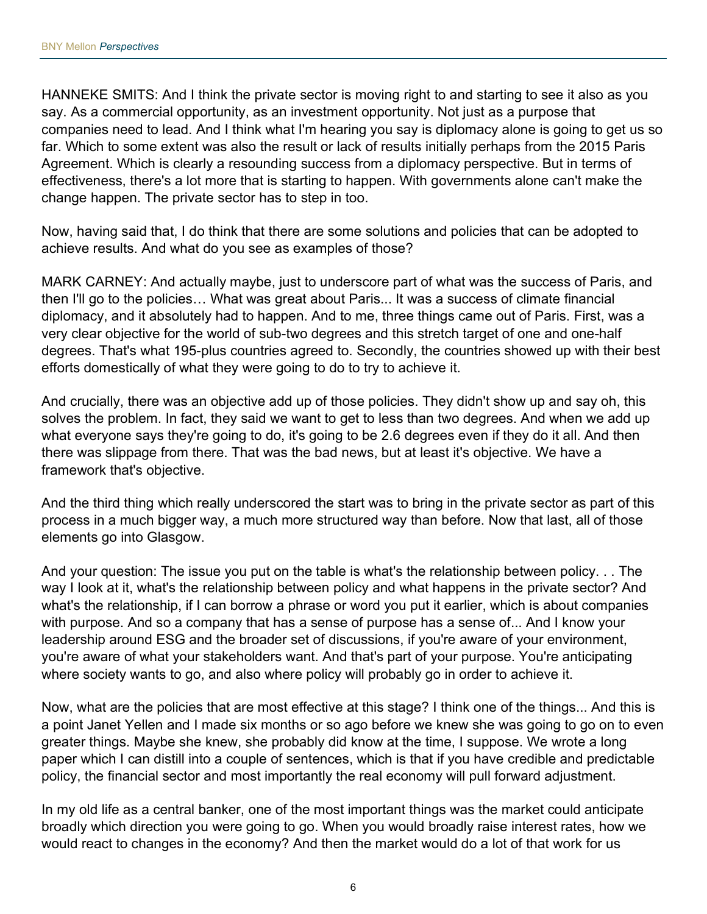HANNEKE SMITS: And I think the private sector is moving right to and starting to see it also as you say. As a commercial opportunity, as an investment opportunity. Not just as a purpose that companies need to lead. And I think what I'm hearing you say is diplomacy alone is going to get us so far. Which to some extent was also the result or lack of results initially perhaps from the 2015 Paris Agreement. Which is clearly a resounding success from a diplomacy perspective. But in terms of effectiveness, there's a lot more that is starting to happen. With governments alone can't make the change happen. The private sector has to step in too.

Now, having said that, I do think that there are some solutions and policies that can be adopted to achieve results. And what do you see as examples of those?

MARK CARNEY: And actually maybe, just to underscore part of what was the success of Paris, and then I'll go to the policies… What was great about Paris... It was a success of climate financial diplomacy, and it absolutely had to happen. And to me, three things came out of Paris. First, was a very clear objective for the world of sub-two degrees and this stretch target of one and one-half degrees. That's what 195-plus countries agreed to. Secondly, the countries showed up with their best efforts domestically of what they were going to do to try to achieve it.

And crucially, there was an objective add up of those policies. They didn't show up and say oh, this solves the problem. In fact, they said we want to get to less than two degrees. And when we add up what everyone says they're going to do, it's going to be 2.6 degrees even if they do it all. And then there was slippage from there. That was the bad news, but at least it's objective. We have a framework that's objective.

And the third thing which really underscored the start was to bring in the private sector as part of this process in a much bigger way, a much more structured way than before. Now that last, all of those elements go into Glasgow.

And your question: The issue you put on the table is what's the relationship between policy. . . The way I look at it, what's the relationship between policy and what happens in the private sector? And what's the relationship, if I can borrow a phrase or word you put it earlier, which is about companies with purpose. And so a company that has a sense of purpose has a sense of... And I know your leadership around ESG and the broader set of discussions, if you're aware of your environment, you're aware of what your stakeholders want. And that's part of your purpose. You're anticipating where society wants to go, and also where policy will probably go in order to achieve it.

Now, what are the policies that are most effective at this stage? I think one of the things... And this is a point Janet Yellen and I made six months or so ago before we knew she was going to go on to even greater things. Maybe she knew, she probably did know at the time, I suppose. We wrote a long paper which I can distill into a couple of sentences, which is that if you have credible and predictable policy, the financial sector and most importantly the real economy will pull forward adjustment.

In my old life as a central banker, one of the most important things was the market could anticipate broadly which direction you were going to go. When you would broadly raise interest rates, how we would react to changes in the economy? And then the market would do a lot of that work for us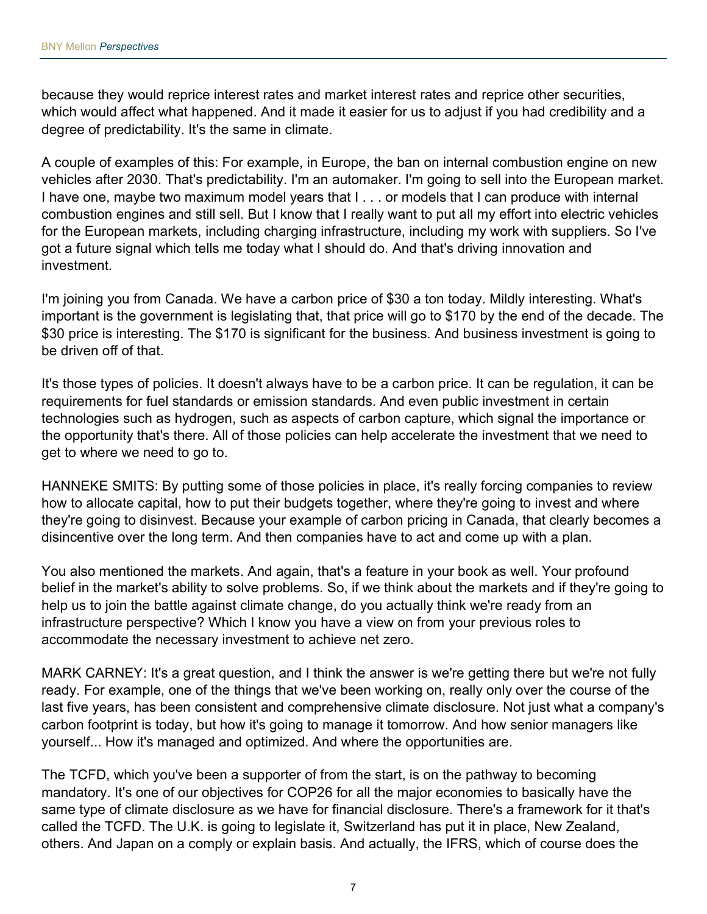because they would reprice interest rates and market interest rates and reprice other securities, which would affect what happened. And it made it easier for us to adjust if you had credibility and a degree of predictability. It's the same in climate.

A couple of examples of this: For example, in Europe, the ban on internal combustion engine on new vehicles after 2030. That's predictability. I'm an automaker. I'm going to sell into the European market. I have one, maybe two maximum model years that I . . . or models that I can produce with internal combustion engines and still sell. But I know that I really want to put all my effort into electric vehicles for the European markets, including charging infrastructure, including my work with suppliers. So I've got a future signal which tells me today what I should do. And that's driving innovation and investment.

I'm joining you from Canada. We have a carbon price of \$30 a ton today. Mildly interesting. What's important is the government is legislating that, that price will go to \$170 by the end of the decade. The \$30 price is interesting. The \$170 is significant for the business. And business investment is going to be driven off of that.

It's those types of policies. It doesn't always have to be a carbon price. It can be regulation, it can be requirements for fuel standards or emission standards. And even public investment in certain technologies such as hydrogen, such as aspects of carbon capture, which signal the importance or the opportunity that's there. All of those policies can help accelerate the investment that we need to get to where we need to go to.

HANNEKE SMITS: By putting some of those policies in place, it's really forcing companies to review how to allocate capital, how to put their budgets together, where they're going to invest and where they're going to disinvest. Because your example of carbon pricing in Canada, that clearly becomes a disincentive over the long term. And then companies have to act and come up with a plan.

You also mentioned the markets. And again, that's a feature in your book as well. Your profound belief in the market's ability to solve problems. So, if we think about the markets and if they're going to help us to join the battle against climate change, do you actually think we're ready from an infrastructure perspective? Which I know you have a view on from your previous roles to accommodate the necessary investment to achieve net zero.

MARK CARNEY: It's a great question, and I think the answer is we're getting there but we're not fully ready. For example, one of the things that we've been working on, really only over the course of the last five years, has been consistent and comprehensive climate disclosure. Not just what a company's carbon footprint is today, but how it's going to manage it tomorrow. And how senior managers like yourself... How it's managed and optimized. And where the opportunities are.

The TCFD, which you've been a supporter of from the start, is on the pathway to becoming mandatory. It's one of our objectives for COP26 for all the major economies to basically have the same type of climate disclosure as we have for financial disclosure. There's a framework for it that's called the TCFD. The U.K. is going to legislate it, Switzerland has put it in place, New Zealand, others. And Japan on a comply or explain basis. And actually, the IFRS, which of course does the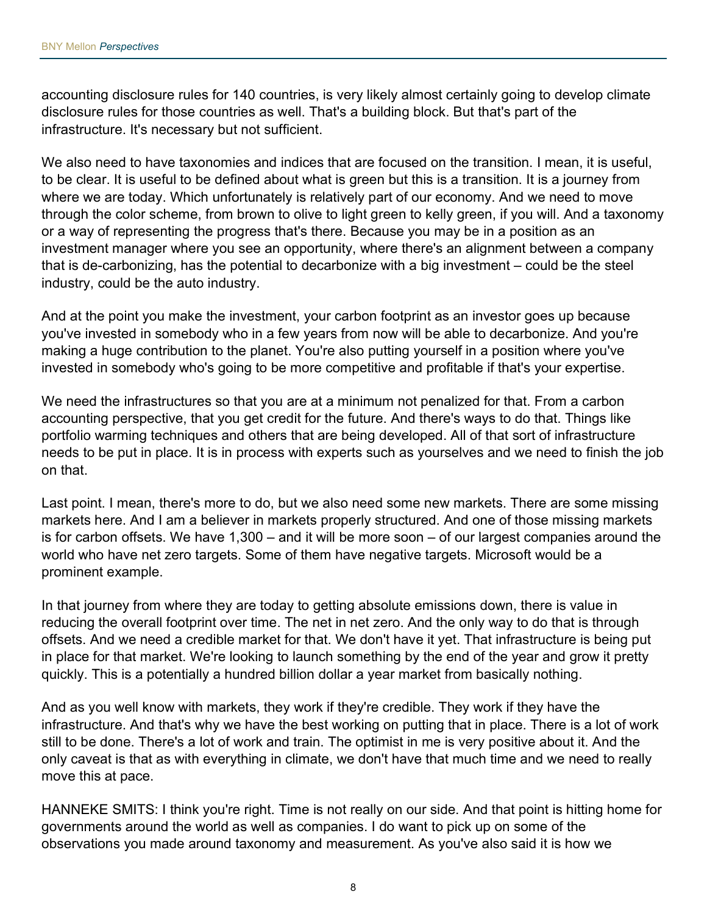accounting disclosure rules for 140 countries, is very likely almost certainly going to develop climate disclosure rules for those countries as well. That's a building block. But that's part of the infrastructure. It's necessary but not sufficient.

We also need to have taxonomies and indices that are focused on the transition. I mean, it is useful, to be clear. It is useful to be defined about what is green but this is a transition. It is a journey from where we are today. Which unfortunately is relatively part of our economy. And we need to move through the color scheme, from brown to olive to light green to kelly green, if you will. And a taxonomy or a way of representing the progress that's there. Because you may be in a position as an investment manager where you see an opportunity, where there's an alignment between a company that is de-carbonizing, has the potential to decarbonize with a big investment – could be the steel industry, could be the auto industry.

And at the point you make the investment, your carbon footprint as an investor goes up because you've invested in somebody who in a few years from now will be able to decarbonize. And you're making a huge contribution to the planet. You're also putting yourself in a position where you've invested in somebody who's going to be more competitive and profitable if that's your expertise.

We need the infrastructures so that you are at a minimum not penalized for that. From a carbon accounting perspective, that you get credit for the future. And there's ways to do that. Things like portfolio warming techniques and others that are being developed. All of that sort of infrastructure needs to be put in place. It is in process with experts such as yourselves and we need to finish the job on that.

Last point. I mean, there's more to do, but we also need some new markets. There are some missing markets here. And I am a believer in markets properly structured. And one of those missing markets is for carbon offsets. We have 1,300 – and it will be more soon – of our largest companies around the world who have net zero targets. Some of them have negative targets. Microsoft would be a prominent example.

In that journey from where they are today to getting absolute emissions down, there is value in reducing the overall footprint over time. The net in net zero. And the only way to do that is through offsets. And we need a credible market for that. We don't have it yet. That infrastructure is being put in place for that market. We're looking to launch something by the end of the year and grow it pretty quickly. This is a potentially a hundred billion dollar a year market from basically nothing.

And as you well know with markets, they work if they're credible. They work if they have the infrastructure. And that's why we have the best working on putting that in place. There is a lot of work still to be done. There's a lot of work and train. The optimist in me is very positive about it. And the only caveat is that as with everything in climate, we don't have that much time and we need to really move this at pace.

HANNEKE SMITS: I think you're right. Time is not really on our side. And that point is hitting home for governments around the world as well as companies. I do want to pick up on some of the observations you made around taxonomy and measurement. As you've also said it is how we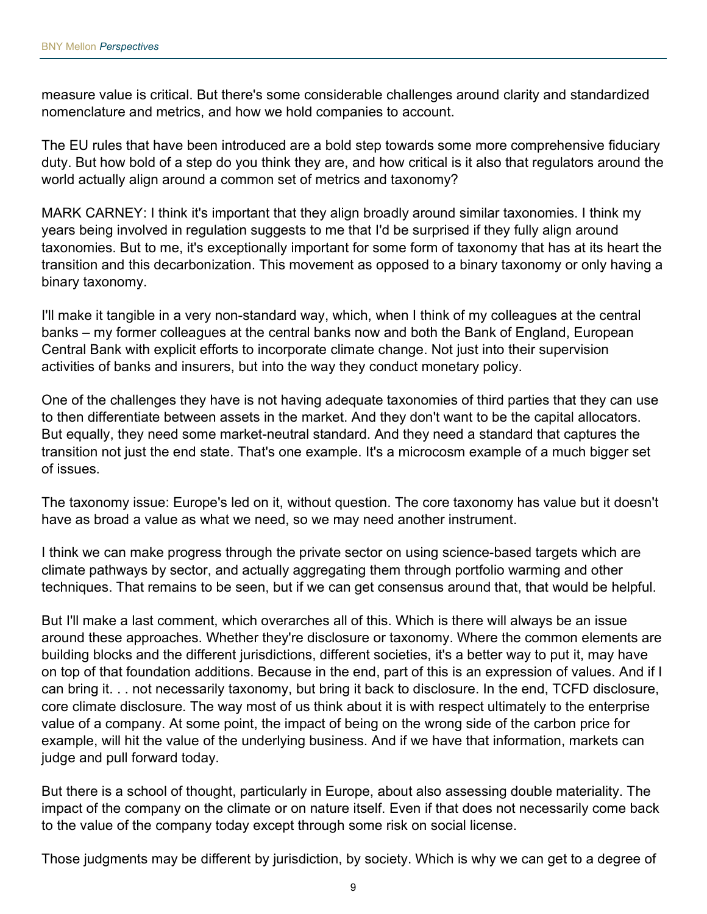measure value is critical. But there's some considerable challenges around clarity and standardized nomenclature and metrics, and how we hold companies to account.

The EU rules that have been introduced are a bold step towards some more comprehensive fiduciary duty. But how bold of a step do you think they are, and how critical is it also that regulators around the world actually align around a common set of metrics and taxonomy?

MARK CARNEY: I think it's important that they align broadly around similar taxonomies. I think my years being involved in regulation suggests to me that I'd be surprised if they fully align around taxonomies. But to me, it's exceptionally important for some form of taxonomy that has at its heart the transition and this decarbonization. This movement as opposed to a binary taxonomy or only having a binary taxonomy.

I'll make it tangible in a very non-standard way, which, when I think of my colleagues at the central banks – my former colleagues at the central banks now and both the Bank of England, European Central Bank with explicit efforts to incorporate climate change. Not just into their supervision activities of banks and insurers, but into the way they conduct monetary policy.

One of the challenges they have is not having adequate taxonomies of third parties that they can use to then differentiate between assets in the market. And they don't want to be the capital allocators. But equally, they need some market-neutral standard. And they need a standard that captures the transition not just the end state. That's one example. It's a microcosm example of a much bigger set of issues.

The taxonomy issue: Europe's led on it, without question. The core taxonomy has value but it doesn't have as broad a value as what we need, so we may need another instrument.

I think we can make progress through the private sector on using science-based targets which are climate pathways by sector, and actually aggregating them through portfolio warming and other techniques. That remains to be seen, but if we can get consensus around that, that would be helpful.

But I'll make a last comment, which overarches all of this. Which is there will always be an issue around these approaches. Whether they're disclosure or taxonomy. Where the common elements are building blocks and the different jurisdictions, different societies, it's a better way to put it, may have on top of that foundation additions. Because in the end, part of this is an expression of values. And if I can bring it. . . not necessarily taxonomy, but bring it back to disclosure. In the end, TCFD disclosure, core climate disclosure. The way most of us think about it is with respect ultimately to the enterprise value of a company. At some point, the impact of being on the wrong side of the carbon price for example, will hit the value of the underlying business. And if we have that information, markets can judge and pull forward today.

But there is a school of thought, particularly in Europe, about also assessing double materiality. The impact of the company on the climate or on nature itself. Even if that does not necessarily come back to the value of the company today except through some risk on social license.

Those judgments may be different by jurisdiction, by society. Which is why we can get to a degree of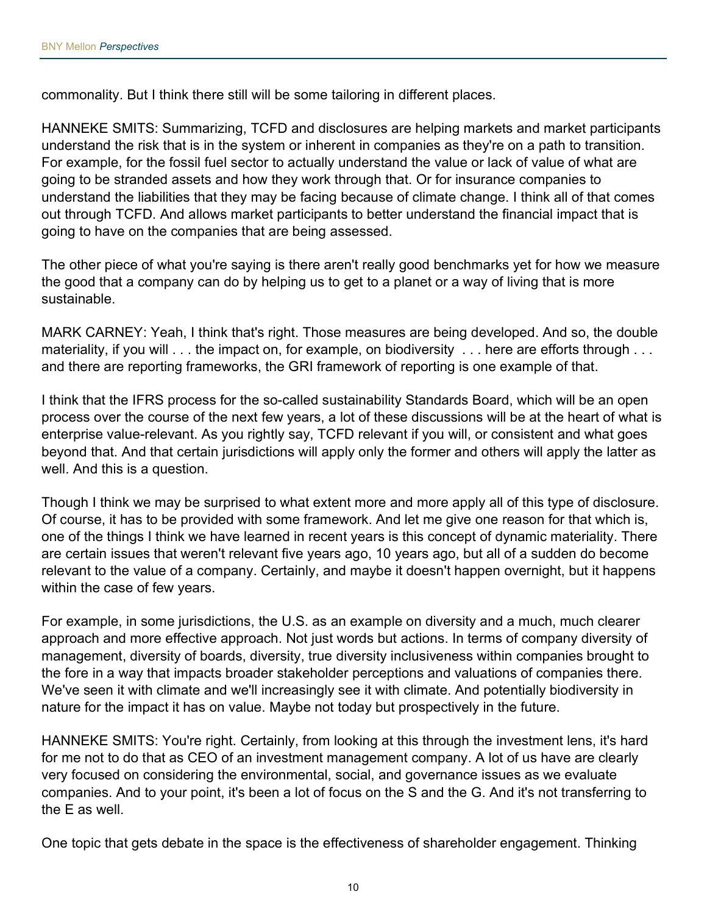commonality. But I think there still will be some tailoring in different places.

HANNEKE SMITS: Summarizing, TCFD and disclosures are helping markets and market participants understand the risk that is in the system or inherent in companies as they're on a path to transition. For example, for the fossil fuel sector to actually understand the value or lack of value of what are going to be stranded assets and how they work through that. Or for insurance companies to understand the liabilities that they may be facing because of climate change. I think all of that comes out through TCFD. And allows market participants to better understand the financial impact that is going to have on the companies that are being assessed.

The other piece of what you're saying is there aren't really good benchmarks yet for how we measure the good that a company can do by helping us to get to a planet or a way of living that is more sustainable.

MARK CARNEY: Yeah, I think that's right. Those measures are being developed. And so, the double materiality, if you will . . . the impact on, for example, on biodiversity . . . here are efforts through . . . and there are reporting frameworks, the GRI framework of reporting is one example of that.

I think that the IFRS process for the so-called sustainability Standards Board, which will be an open process over the course of the next few years, a lot of these discussions will be at the heart of what is enterprise value-relevant. As you rightly say, TCFD relevant if you will, or consistent and what goes beyond that. And that certain jurisdictions will apply only the former and others will apply the latter as well. And this is a question.

Though I think we may be surprised to what extent more and more apply all of this type of disclosure. Of course, it has to be provided with some framework. And let me give one reason for that which is, one of the things I think we have learned in recent years is this concept of dynamic materiality. There are certain issues that weren't relevant five years ago, 10 years ago, but all of a sudden do become relevant to the value of a company. Certainly, and maybe it doesn't happen overnight, but it happens within the case of few years.

For example, in some jurisdictions, the U.S. as an example on diversity and a much, much clearer approach and more effective approach. Not just words but actions. In terms of company diversity of management, diversity of boards, diversity, true diversity inclusiveness within companies brought to the fore in a way that impacts broader stakeholder perceptions and valuations of companies there. We've seen it with climate and we'll increasingly see it with climate. And potentially biodiversity in nature for the impact it has on value. Maybe not today but prospectively in the future.

HANNEKE SMITS: You're right. Certainly, from looking at this through the investment lens, it's hard for me not to do that as CEO of an investment management company. A lot of us have are clearly very focused on considering the environmental, social, and governance issues as we evaluate companies. And to your point, it's been a lot of focus on the S and the G. And it's not transferring to the E as well.

One topic that gets debate in the space is the effectiveness of shareholder engagement. Thinking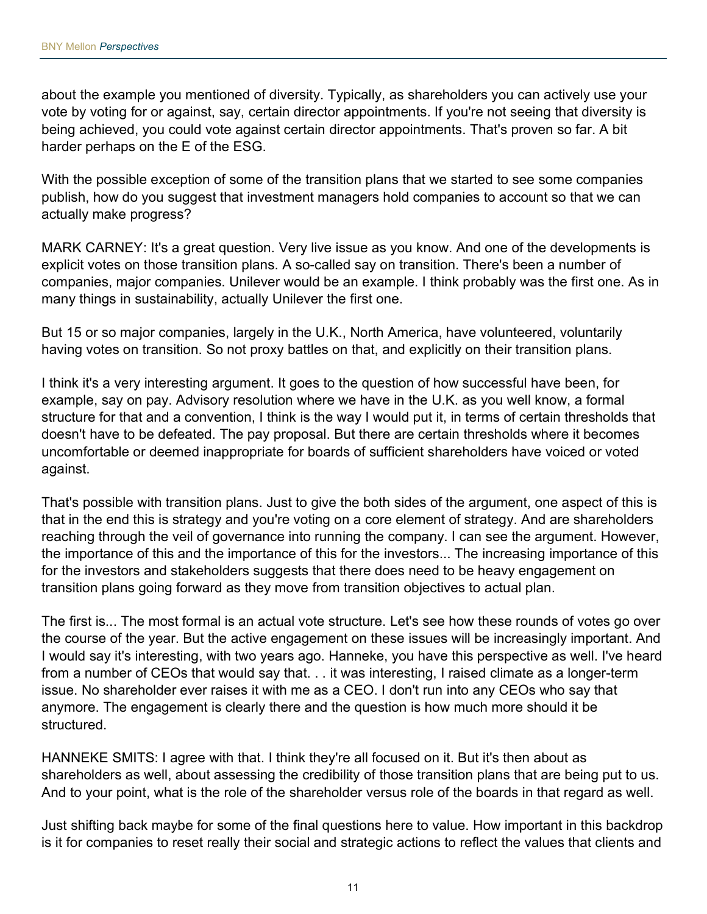about the example you mentioned of diversity. Typically, as shareholders you can actively use your vote by voting for or against, say, certain director appointments. If you're not seeing that diversity is being achieved, you could vote against certain director appointments. That's proven so far. A bit harder perhaps on the E of the ESG.

With the possible exception of some of the transition plans that we started to see some companies publish, how do you suggest that investment managers hold companies to account so that we can actually make progress?

MARK CARNEY: It's a great question. Very live issue as you know. And one of the developments is explicit votes on those transition plans. A so-called say on transition. There's been a number of companies, major companies. Unilever would be an example. I think probably was the first one. As in many things in sustainability, actually Unilever the first one.

But 15 or so major companies, largely in the U.K., North America, have volunteered, voluntarily having votes on transition. So not proxy battles on that, and explicitly on their transition plans.

I think it's a very interesting argument. It goes to the question of how successful have been, for example, say on pay. Advisory resolution where we have in the U.K. as you well know, a formal structure for that and a convention, I think is the way I would put it, in terms of certain thresholds that doesn't have to be defeated. The pay proposal. But there are certain thresholds where it becomes uncomfortable or deemed inappropriate for boards of sufficient shareholders have voiced or voted against.

That's possible with transition plans. Just to give the both sides of the argument, one aspect of this is that in the end this is strategy and you're voting on a core element of strategy. And are shareholders reaching through the veil of governance into running the company. I can see the argument. However, the importance of this and the importance of this for the investors... The increasing importance of this for the investors and stakeholders suggests that there does need to be heavy engagement on transition plans going forward as they move from transition objectives to actual plan.

The first is... The most formal is an actual vote structure. Let's see how these rounds of votes go over the course of the year. But the active engagement on these issues will be increasingly important. And I would say it's interesting, with two years ago. Hanneke, you have this perspective as well. I've heard from a number of CEOs that would say that. . . it was interesting, I raised climate as a longer-term issue. No shareholder ever raises it with me as a CEO. I don't run into any CEOs who say that anymore. The engagement is clearly there and the question is how much more should it be structured.

HANNEKE SMITS: I agree with that. I think they're all focused on it. But it's then about as shareholders as well, about assessing the credibility of those transition plans that are being put to us. And to your point, what is the role of the shareholder versus role of the boards in that regard as well.

Just shifting back maybe for some of the final questions here to value. How important in this backdrop is it for companies to reset really their social and strategic actions to reflect the values that clients and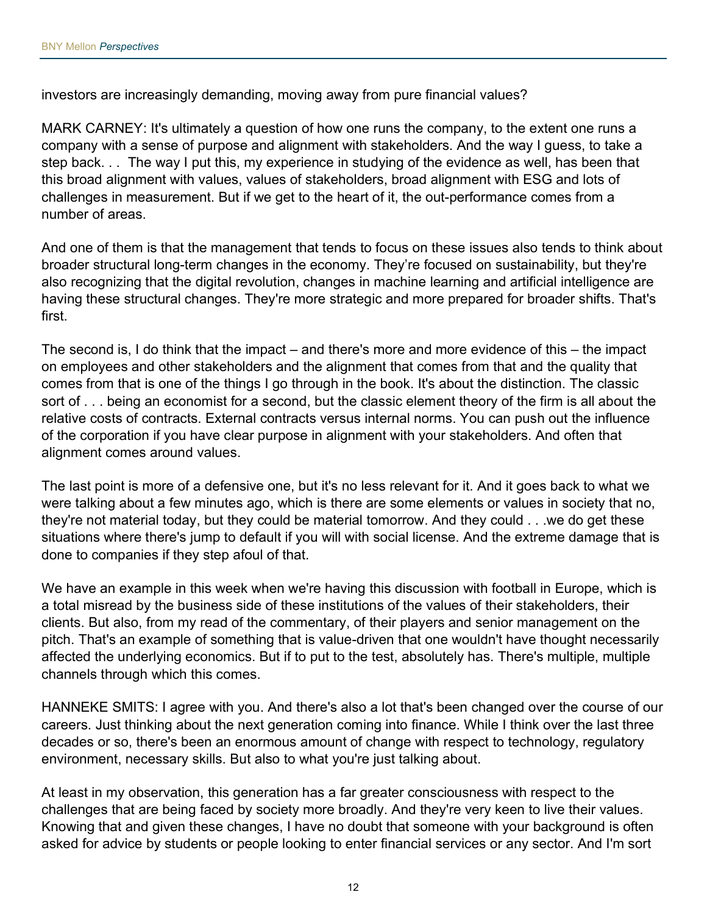investors are increasingly demanding, moving away from pure financial values?

MARK CARNEY: It's ultimately a question of how one runs the company, to the extent one runs a company with a sense of purpose and alignment with stakeholders. And the way I guess, to take a step back. . . The way I put this, my experience in studying of the evidence as well, has been that this broad alignment with values, values of stakeholders, broad alignment with ESG and lots of challenges in measurement. But if we get to the heart of it, the out-performance comes from a number of areas.

And one of them is that the management that tends to focus on these issues also tends to think about broader structural long-term changes in the economy. They're focused on sustainability, but they're also recognizing that the digital revolution, changes in machine learning and artificial intelligence are having these structural changes. They're more strategic and more prepared for broader shifts. That's first.

The second is, I do think that the impact – and there's more and more evidence of this – the impact on employees and other stakeholders and the alignment that comes from that and the quality that comes from that is one of the things I go through in the book. It's about the distinction. The classic sort of . . . being an economist for a second, but the classic element theory of the firm is all about the relative costs of contracts. External contracts versus internal norms. You can push out the influence of the corporation if you have clear purpose in alignment with your stakeholders. And often that alignment comes around values.

The last point is more of a defensive one, but it's no less relevant for it. And it goes back to what we were talking about a few minutes ago, which is there are some elements or values in society that no, they're not material today, but they could be material tomorrow. And they could . . .we do get these situations where there's jump to default if you will with social license. And the extreme damage that is done to companies if they step afoul of that.

We have an example in this week when we're having this discussion with football in Europe, which is a total misread by the business side of these institutions of the values of their stakeholders, their clients. But also, from my read of the commentary, of their players and senior management on the pitch. That's an example of something that is value-driven that one wouldn't have thought necessarily affected the underlying economics. But if to put to the test, absolutely has. There's multiple, multiple channels through which this comes.

HANNEKE SMITS: I agree with you. And there's also a lot that's been changed over the course of our careers. Just thinking about the next generation coming into finance. While I think over the last three decades or so, there's been an enormous amount of change with respect to technology, regulatory environment, necessary skills. But also to what you're just talking about.

At least in my observation, this generation has a far greater consciousness with respect to the challenges that are being faced by society more broadly. And they're very keen to live their values. Knowing that and given these changes, I have no doubt that someone with your background is often asked for advice by students or people looking to enter financial services or any sector. And I'm sort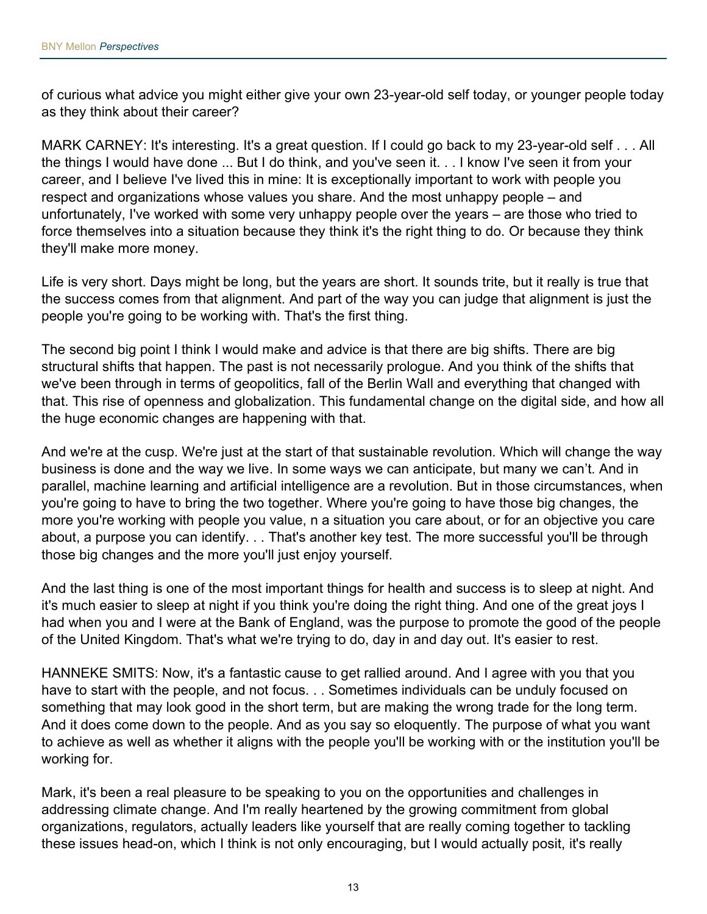of curious what advice you might either give your own 23-year-old self today, or younger people today as they think about their career?

MARK CARNEY: It's interesting. It's a great question. If I could go back to my 23-year-old self . . . All the things I would have done ... But I do think, and you've seen it. . . I know I've seen it from your career, and I believe I've lived this in mine: It is exceptionally important to work with people you respect and organizations whose values you share. And the most unhappy people – and unfortunately, I've worked with some very unhappy people over the years – are those who tried to force themselves into a situation because they think it's the right thing to do. Or because they think they'll make more money.

Life is very short. Days might be long, but the years are short. It sounds trite, but it really is true that the success comes from that alignment. And part of the way you can judge that alignment is just the people you're going to be working with. That's the first thing.

The second big point I think I would make and advice is that there are big shifts. There are big structural shifts that happen. The past is not necessarily prologue. And you think of the shifts that we've been through in terms of geopolitics, fall of the Berlin Wall and everything that changed with that. This rise of openness and globalization. This fundamental change on the digital side, and how all the huge economic changes are happening with that.

And we're at the cusp. We're just at the start of that sustainable revolution. Which will change the way business is done and the way we live. In some ways we can anticipate, but many we can't. And in parallel, machine learning and artificial intelligence are a revolution. But in those circumstances, when you're going to have to bring the two together. Where you're going to have those big changes, the more you're working with people you value, n a situation you care about, or for an objective you care about, a purpose you can identify. . . That's another key test. The more successful you'll be through those big changes and the more you'll just enjoy yourself.

And the last thing is one of the most important things for health and success is to sleep at night. And it's much easier to sleep at night if you think you're doing the right thing. And one of the great joys I had when you and I were at the Bank of England, was the purpose to promote the good of the people of the United Kingdom. That's what we're trying to do, day in and day out. It's easier to rest.

HANNEKE SMITS: Now, it's a fantastic cause to get rallied around. And I agree with you that you have to start with the people, and not focus. . . Sometimes individuals can be unduly focused on something that may look good in the short term, but are making the wrong trade for the long term. And it does come down to the people. And as you say so eloquently. The purpose of what you want to achieve as well as whether it aligns with the people you'll be working with or the institution you'll be working for.

Mark, it's been a real pleasure to be speaking to you on the opportunities and challenges in addressing climate change. And I'm really heartened by the growing commitment from global organizations, regulators, actually leaders like yourself that are really coming together to tackling these issues head-on, which I think is not only encouraging, but I would actually posit, it's really